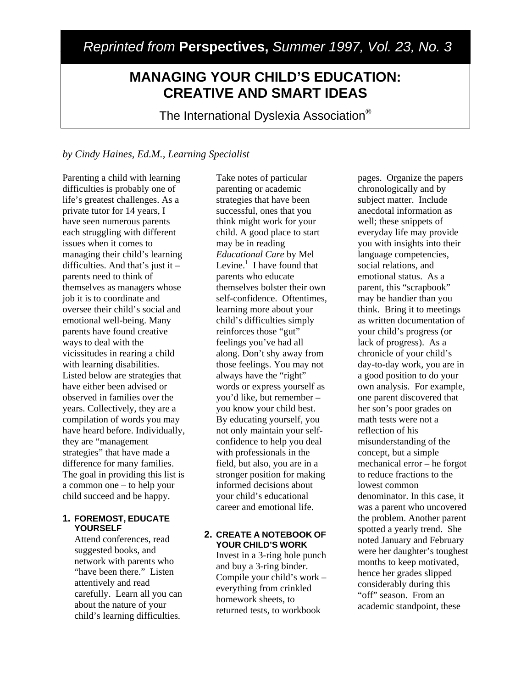# *Reprinted from* **Perspectives,** *Summer 1997, Vol. 23, No. 3*

# **MANAGING YOUR CHILD'S EDUCATION: CREATIVE AND SMART IDEAS**

The International Dyslexia Association®

### *by Cindy Haines, Ed.M., Learning Specialist*

Parenting a child with learning difficulties is probably one of life's greatest challenges. As a private tutor for 14 years, I have seen numerous parents each struggling with different issues when it comes to managing their child's learning difficulties. And that's just it – parents need to think of themselves as managers whose job it is to coordinate and oversee their child's social and emotional well-being. Many parents have found creative ways to deal with the vicissitudes in rearing a child with learning disabilities. Listed below are strategies that have either been advised or observed in families over the years. Collectively, they are a compilation of words you may have heard before. Individually, they are "management strategies" that have made a difference for many families. The goal in providing this list is a common one – to help your child succeed and be happy.

### **1. FOREMOST, EDUCATE YOURSELF**

Attend conferences, read suggested books, and network with parents who "have been there." Listen attentively and read carefully. Learn all you can about the nature of your child's learning difficulties.

Take notes of particular parenting or academic strategies that have been successful, ones that you think might work for your child. A good place to start may be in reading *Educational Care* by Mel Levine. $<sup>1</sup>$  I have found that</sup> parents who educate themselves bolster their own self-confidence. Oftentimes, learning more about your child's difficulties simply reinforces those "gut" feelings you've had all along. Don't shy away from those feelings. You may not always have the "right" words or express yourself as you'd like, but remember – you know your child best. By educating yourself, you not only maintain your selfconfidence to help you deal with professionals in the field, but also, you are in a stronger position for making informed decisions about your child's educational career and emotional life.

### **2. CREATE A NOTEBOOK OF YOUR CHILD'S WORK**

Invest in a 3-ring hole punch and buy a 3-ring binder. Compile your child's work – everything from crinkled homework sheets, to returned tests, to workbook

pages. Organize the papers chronologically and by subject matter. Include anecdotal information as well; these snippets of everyday life may provide you with insights into their language competencies, social relations, and emotional status. As a parent, this "scrapbook" may be handier than you think. Bring it to meetings as written documentation of your child's progress (or lack of progress). As a chronicle of your child's day-to-day work, you are in a good position to do your own analysis. For example, one parent discovered that her son's poor grades on math tests were not a reflection of his misunderstanding of the concept, but a simple mechanical error – he forgot to reduce fractions to the lowest common denominator. In this case, it was a parent who uncovered the problem. Another parent spotted a yearly trend. She noted January and February were her daughter's toughest months to keep motivated, hence her grades slipped considerably during this "off" season. From an academic standpoint, these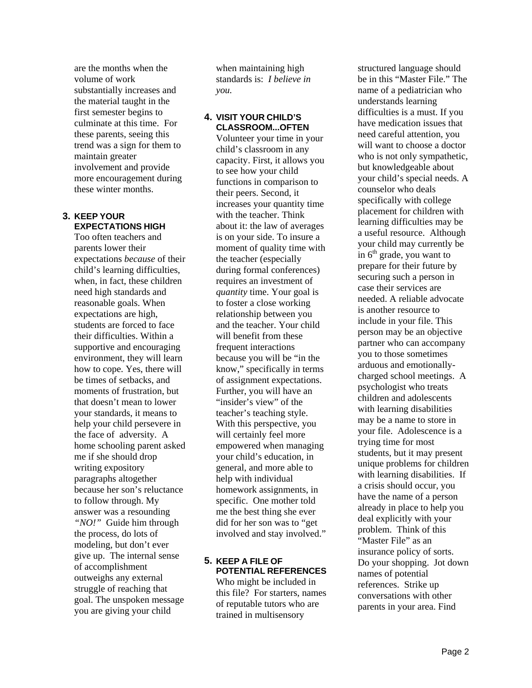are the months when the volume of work substantially increases and the material taught in the first semester begins to culminate at this time. For these parents, seeing this trend was a sign for them to maintain greater involvement and provide more encouragement during these winter months.

### **3. KEEP YOUR EXPECTATIONS HIGH**

Too often teachers and parents lower their expectations *because* of their child's learning difficulties, when, in fact, these children need high standards and reasonable goals. When expectations are high, students are forced to face their difficulties. Within a supportive and encouraging environment, they will learn how to cope. Yes, there will be times of setbacks, and moments of frustration, but that doesn't mean to lower your standards, it means to help your child persevere in the face of adversity. A home schooling parent asked me if she should drop writing expository paragraphs altogether because her son's reluctance to follow through. My answer was a resounding *"NO!"* Guide him through the process, do lots of modeling, but don't ever give up. The internal sense of accomplishment outweighs any external struggle of reaching that goal. The unspoken message you are giving your child

when maintaining high standards is: *I believe in you.*

### **4. VISIT YOUR CHILD'S CLASSROOM...OFTEN**

Volunteer your time in your child's classroom in any capacity. First, it allows you to see how your child functions in comparison to their peers. Second, it increases your quantity time with the teacher. Think about it: the law of averages is on your side. To insure a moment of quality time with the teacher (especially during formal conferences) requires an investment of *quantity* time. Your goal is to foster a close working relationship between you and the teacher. Your child will benefit from these frequent interactions because you will be "in the know," specifically in terms of assignment expectations. Further, you will have an "insider's view" of the teacher's teaching style. With this perspective, you will certainly feel more empowered when managing your child's education, in general, and more able to help with individual homework assignments, in specific. One mother told me the best thing she ever did for her son was to "get involved and stay involved."

## **5. KEEP A FILE OF POTENTIAL REFERENCES**

Who might be included in this file? For starters, names of reputable tutors who are trained in multisensory

structured language should be in this "Master File." The name of a pediatrician who understands learning difficulties is a must. If you have medication issues that need careful attention, you will want to choose a doctor who is not only sympathetic, but knowledgeable about your child's special needs. A counselor who deals specifically with college placement for children with learning difficulties may be a useful resource. Although your child may currently be in  $6<sup>th</sup>$  grade, you want to prepare for their future by securing such a person in case their services are needed. A reliable advocate is another resource to include in your file. This person may be an objective partner who can accompany you to those sometimes arduous and emotionallycharged school meetings. A psychologist who treats children and adolescents with learning disabilities may be a name to store in your file. Adolescence is a trying time for most students, but it may present unique problems for children with learning disabilities. If a crisis should occur, you have the name of a person already in place to help you deal explicitly with your problem. Think of this "Master File" as an insurance policy of sorts. Do your shopping. Jot down names of potential references. Strike up conversations with other parents in your area. Find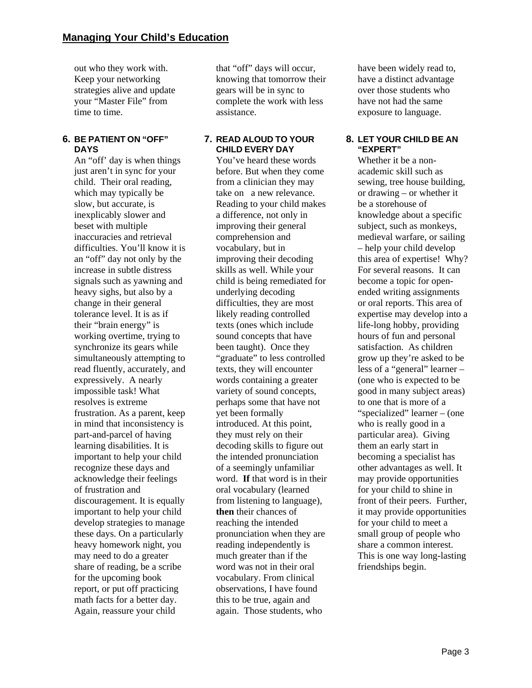out who they work with. Keep your networking strategies alive and update your "Master File" from time to time.

### **6. BE PATIENT ON "OFF" DAYS**

An "off' day is when things just aren't in sync for your child. Their oral reading, which may typically be slow, but accurate, is inexplicably slower and beset with multiple inaccuracies and retrieval difficulties. You'll know it is an "off" day not only by the increase in subtle distress signals such as yawning and heavy sighs, but also by a change in their general tolerance level. It is as if their "brain energy" is working overtime, trying to synchronize its gears while simultaneously attempting to read fluently, accurately, and expressively. A nearly impossible task! What resolves is extreme frustration. As a parent, keep in mind that inconsistency is part-and-parcel of having learning disabilities. It is important to help your child recognize these days and acknowledge their feelings of frustration and discouragement. It is equally important to help your child develop strategies to manage these days. On a particularly heavy homework night, you may need to do a greater share of reading, be a scribe for the upcoming book report, or put off practicing math facts for a better day. Again, reassure your child

that "off" days will occur, knowing that tomorrow their gears will be in sync to complete the work with less assistance.

### **7. READ ALOUD TO YOUR CHILD EVERY DAY**

You've heard these words before. But when they come from a clinician they may take on a new relevance. Reading to your child makes a difference, not only in improving their general comprehension and vocabulary, but in improving their decoding skills as well. While your child is being remediated for underlying decoding difficulties, they are most likely reading controlled texts (ones which include sound concepts that have been taught). Once they "graduate" to less controlled texts, they will encounter words containing a greater variety of sound concepts, perhaps some that have not yet been formally introduced. At this point, they must rely on their decoding skills to figure out the intended pronunciation of a seemingly unfamiliar word. **If** that word is in their oral vocabulary (learned from listening to language), **then** their chances of reaching the intended pronunciation when they are reading independently is much greater than if the word was not in their oral vocabulary. From clinical observations, I have found this to be true, again and again. Those students, who

have been widely read to, have a distinct advantage over those students who have not had the same exposure to language.

### **8. LET YOUR CHILD BE AN "EXPERT"**

Whether it be a nonacademic skill such as sewing, tree house building, or drawing – or whether it be a storehouse of knowledge about a specific subject, such as monkeys, medieval warfare, or sailing – help your child develop this area of expertise! Why? For several reasons. It can become a topic for openended writing assignments or oral reports. This area of expertise may develop into a life-long hobby, providing hours of fun and personal satisfaction. As children grow up they're asked to be less of a "general" learner – (one who is expected to be good in many subject areas) to one that is more of a "specialized" learner – (one who is really good in a particular area). Giving them an early start in becoming a specialist has other advantages as well. It may provide opportunities for your child to shine in front of their peers. Further, it may provide opportunities for your child to meet a small group of people who share a common interest. This is one way long-lasting friendships begin.